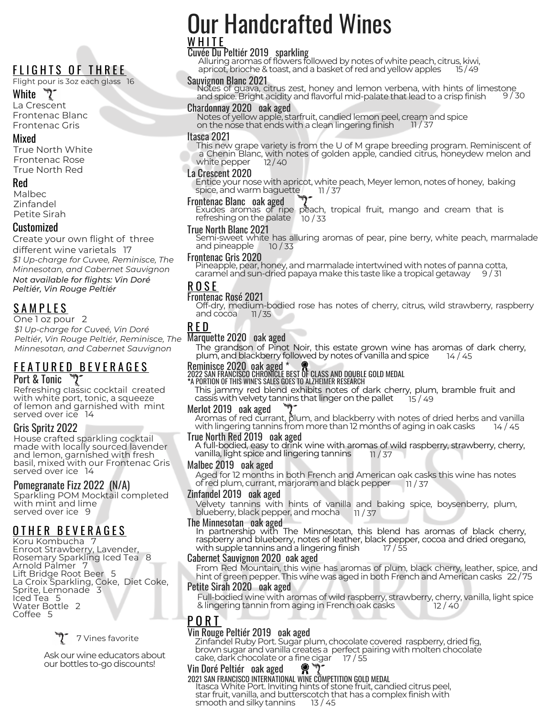# FLIGHTS OF THREE

#### Flight pour is 3oz each glass 16

#### White  $\mathcal{D}$

La Crescent Frontenac Blanc Frontenac Gris

#### Mixed

True North White Frontenac Rose True North Red

#### Red

Malbec Zinfandel Petite Sirah

#### Customized

Create your own flight of three different wine varietals 17 *\$1 Up-charge for Cuvee, Reminisce, The Minnesotan, and Cabernet Sauvignon Not available for flights: Vin Doré Peltiér, Vin Rouge Peltiér*

# **SAMPLES**

One 1 oz pour 2

Marquette 2020 oak aged *Peltiér, Vin Rouge Peltiér, Reminisce, The \$1 Up-charge for Cuveé, Vin Doré Minnesotan, and Cabernet Sauvignon*

#### <u>F E A T U R E D B E V E R A G E S</u> Port & Tonic

Refreshing classic cocktail created with white port, tonic, a squeeze of lemon and garnished with mint served over ice 14

#### Gris Spritz 2022

House crafted sparkling cocktail made with locally sourced lavender and lemon, garnished with fresh basil, mixed with our Frontenac Gris served over ice 14

#### Pomegranate Fizz 2022 (N/A)

Sparkling POM Mocktail completed with mint and lime served over ice 9

## O T H E R B E V E R A G E S

Koru Kombucha 7 Enroot Strawberry, Lavender, Rosemary Sparkling Iced Tea 8 Arnold Palmer 7 Lift Bridge Root Beer 5 La Croix Sparkling, Coke, Diet Coke, Sprite, Lemonade 3 Iced Tea 5 Water Bottle 2 Coffee 5



Ask our wine educators about our bottles to-go discounts!

# Our Handcrafted Wines W H I T E

## Cuvée Du Peltiér 2019 sparkling

Alluring aromas of flowers followed by notes of white peach, citrus, kiwi, apricot, brioche & toast, and a basket of red and yellow apples

 $9/30$ Sauvignon Blanc 2021 Notes of guava, citrus zest, honey and lemon verbena, with hints of limestone and spice. Bright acidity and flavorful mid-palate that lead to a crisp finish

#### Chardonnay 2020 oak aged

Notes of yellow apple, starfruit, candied lemon peel, cream and spice<br>on the nose that ends with a clean lingering finish \_\_\_\_\_\_\_\_\_\_\_\_\_\_\_\_\_\_\_\_\_\_\_\_\_\_\_\_ on the nose that ends with a clean lingering finish

#### Itasca 2021

This new grape variety is from the U of M grape breeding program. Reminiscent of a Chenin Blanc, with notes of golden apple, candied citrus, honeydew melon and<br>white pepper 12/40 white pepper

#### La Crescent 2020

Entice your nose with apricot, white peach, Meyer lemon, notes of honey, baking<br>spice, and warm baguette 11/37 spice, and warm baguette

#### Frontenac Blanc oak aged

Exudes aromas of ripe peach, tropical fruit, mango and cream that is refreshingon the palate 10 / 33

#### True North Blanc 2021

Semi-sweet white has alluring aromas of pear, pine berry, white peach, marmalade and pineapple 10 / 33

#### Frontenac Gris 2020

Pineapple, pear, honey, and marmalade intertwined with notes of panna cotta, caramel and sun-dried papaya make this taste like a tropical getaway

#### R O S E

#### Frontenac Rosé 2021

Off-dry, medium-bodied rose has notes of cherry, citrus, wild strawberry, raspberry and  $\frac{\text{cocoa}}{\text{11}}$  11/35

#### R E D

The grandson of Pinot Noir, this estate grown wine has aromas of dark cherry, plum, and blackberry followed by notes of vanilla and spice  $\frac{14}{45}$ plum, and blackberry followed by notes of vanilla and spice

Reminisce 2020 oak aged \* 2022 SAN FRANCISCO CHRONICLE BEST OF CLASS AND DOUBLE GOLD MEDAL **\***A PORTION OF THIS WINE'S SALES GOES TO ALZHEIMER RESEARCH

This jammy red blend exhibits notes of dark cherry, plum, bramble fruit and cassis with velvety tannins that linger on the pallet 15 / 49

#### Merlot 2019 oak aged

Aromas of red currant, plum, and blackberry with notes of dried herbs and vanilla<br>with lingering tannins from more than 12 months of aging in oak casks a 14/45 with lingering tannins from more than 12 months of aging in oak casks

#### True North Red 2019 oak aged

A full-bodied, easy to drink wine with aromas of wild raspberry, strawberry, cherry,<br>vanilla, light spice and lingering tannins 11 / 37 vanilla, light spice and lingering tannins

#### Malbec 2019 oak aged

Aged for 12 months in both French and American oak casks this wine has notes<br>of red plum, currant, marjoram and black pepper 11 / 37 of red plum, currant, marjoram and black pepper

#### Zinfandel 2019 oak aged

Velvety tannins with hints of vanilla and baking spice, boysenberry, plum, blueberry, black pepper, and mocha 11/37 blueberry, black pepper, and mocha

#### The Minnesotan oak aged

In partnership with The Minnesotan, this blend has aromas of black cherry, raspberry and blueberry, notes of leather, black pepper, cocoa and dried oregano, with supple tannins and a lingering finish  $17 / 55$ 

#### Cabernet Sauvignon 2020 oak aged

From Red Mountain, this wine has aromas of plum, black cherry, leather, spice, and hint ofgreen pepper. This wine was aged in both French and American casks 22 / 75

#### Petite Sirah 2020 oak aged

Full-bodied wine with aromas of wild raspberry, strawberry, cherry, vanilla, light spice & lingering tannin from aging in French oak casks

## P O R T

#### Vin Rouge Peltiér 2019 oak aged

Zinfandel Ruby Port. Sugar plum, chocolate covered raspberry, dried fig, brown sugar and vanilla creates a perfect pairing with molten chocolate<br>cake, dark chocolate or a fine cigar 17 / 55 cake, dark chocolate or a fine cigar

#### Vin Doré Peltiér oak aged  $\mathbf{Q}$  .

#### 2021 SAN FRANCISCO INTERNATIONAL WINE COMPETITION GOLD MEDAL

Itasca White Port. Inviting hints of stone fruit, candied citrus peel, star fruit, vanilla, and butterscotch that has a complex finish with smooth and silky tannins 13 / 45